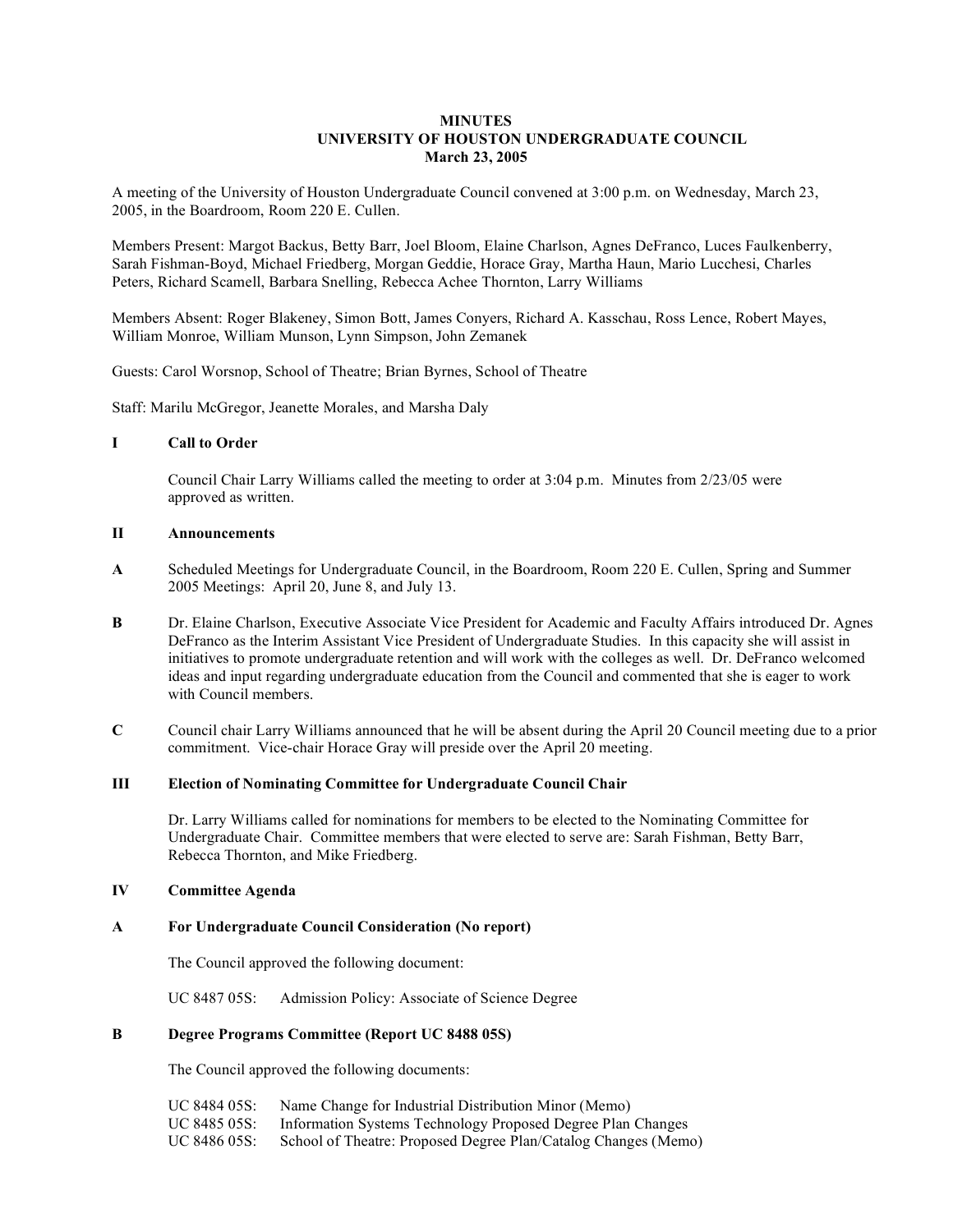## **MINUTES UNIVERSITY OF HOUSTON UNDERGRADUATE COUNCIL March 23, 2005**

A meeting of the University of Houston Undergraduate Council convened at 3:00 p.m. on Wednesday, March 23, 2005, in the Boardroom, Room 220 E. Cullen.

Members Present: Margot Backus, Betty Barr, Joel Bloom, Elaine Charlson, Agnes DeFranco, Luces Faulkenberry, Sarah Fishman-Boyd, Michael Friedberg, Morgan Geddie, Horace Gray, Martha Haun, Mario Lucchesi, Charles Peters, Richard Scamell, Barbara Snelling, Rebecca Achee Thornton, Larry Williams

Members Absent: Roger Blakeney, Simon Bott, James Conyers, Richard A. Kasschau, Ross Lence, Robert Mayes, William Monroe, William Munson, Lynn Simpson, John Zemanek

Guests: Carol Worsnop, School of Theatre; Brian Byrnes, School of Theatre

Staff: Marilu McGregor, Jeanette Morales, and Marsha Daly

#### **I Call to Order**

Council Chair Larry Williams called the meeting to order at 3:04 p.m. Minutes from 2/23/05 were approved as written.

#### **II Announcements**

- **A** Scheduled Meetings for Undergraduate Council, in the Boardroom, Room 220 E. Cullen, Spring and Summer 2005 Meetings: April 20, June 8, and July 13.
- **B** Dr. Elaine Charlson, Executive Associate Vice President for Academic and Faculty Affairs introduced Dr. Agnes DeFranco as the Interim Assistant Vice President of Undergraduate Studies. In this capacity she will assist in initiatives to promote undergraduate retention and will work with the colleges as well. Dr. DeFranco welcomed ideas and input regarding undergraduate education from the Council and commented that she is eager to work with Council members.
- **C** Council chair Larry Williams announced that he will be absent during the April 20 Council meeting due to a prior commitment. Vice-chair Horace Gray will preside over the April 20 meeting.

### **III Election of Nominating Committee for Undergraduate Council Chair**

Dr. Larry Williams called for nominations for members to be elected to the Nominating Committee for Undergraduate Chair. Committee members that were elected to serve are: Sarah Fishman, Betty Barr, Rebecca Thornton, and Mike Friedberg.

#### **IV Committee Agenda**

#### **A For Undergraduate Council Consideration (No report)**

The Council approved the following document:

UC 8487 05S: Admission Policy: Associate of Science Degree

### **B Degree Programs Committee (Report UC 8488 05S)**

The Council approved the following documents:

UC 8484 05S: Name Change for Industrial Distribution Minor (Memo) UC 8485 05S: Information Systems Technology Proposed Degree Plan Changes UC 8486 05S: School of Theatre: Proposed Degree Plan/Catalog Changes (Memo)